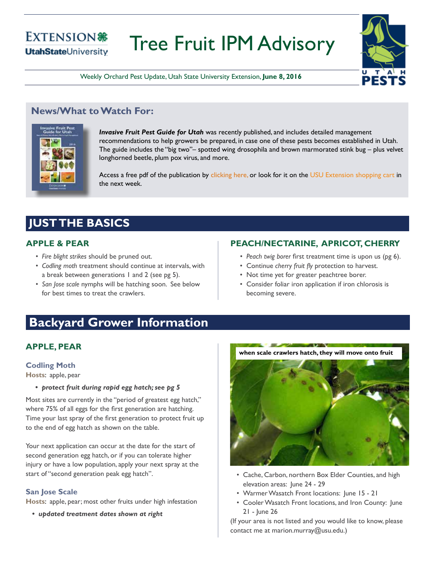### **EXTENSION® UtahStateUniversity**

# Tree Fruit IPM Advisory



Weekly Orchard Pest Update, Utah State University Extension, **June 8, 2016**

### **News/What to Watch For:**



*Invasive Fruit Pest Guide for Utah* was recently published, and includes detailed management recommendations to help growers be prepared, in case one of these pests becomes established in Utah. The guide includes the "big two"– spotted wing drosophila and brown marmorated stink bug – plus velvet longhorned beetle, plum pox virus, and more.

Access a free pdf of the publication by [clicking here,](http://utahpests.usu.edu/IPM/files/uploads/Publications/UT-invasive-fruit-pest-guide-2016.pdf) or look for it on the [USU Extension shopping cart](https://extension.cart.usu.edu/) in the next week.

# **JUST THE BASICS**

### **APPLE & PEAR**

- *• Fire blight strikes* should be pruned out.
- *• Codling moth* treatment should continue at intervals, with a break between generations 1 and 2 (see pg 5).
- *• San Jose scale* nymphs will be hatching soon. See below for best times to treat the crawlers.

### **PEACH/NECTARINE, APRICOT, CHERRY**

- *• Peach twig borer* first treatment time is upon us (pg 6).
- Continue *cherry fruit fly* protection to harvest.
- Not time yet for greater peachtree borer.
- Consider foliar iron application if iron chlorosis is becoming severe.

# **Backyard Grower Information**

### **APPLE, PEAR**

#### **Codling Moth**

**Hosts**: apple, pear

*• protect fruit during rapid egg hatch; see pg 5*

Most sites are currently in the "period of greatest egg hatch," where 75% of all eggs for the first generation are hatching. Time your last spray of the first generation to protect fruit up to the end of egg hatch as shown on the table.

Your next application can occur at the date for the start of second generation egg hatch, or if you can tolerate higher injury or have a low population, apply your next spray at the start of "second generation peak egg hatch".

### **San Jose Scale**

**Hosts**: apple, pear; most other fruits under high infestation

*• updated treatment dates shown at right*





- Cache, Carbon, northern Box Elder Counties, and high elevation areas: June 24 - 29
- Warmer Wasatch Front locations: June 15 21
- Cooler Wasatch Front locations, and Iron County: June 21 - June 26

(If your area is not listed and you would like to know, please contact me at marion.murray@usu.edu.)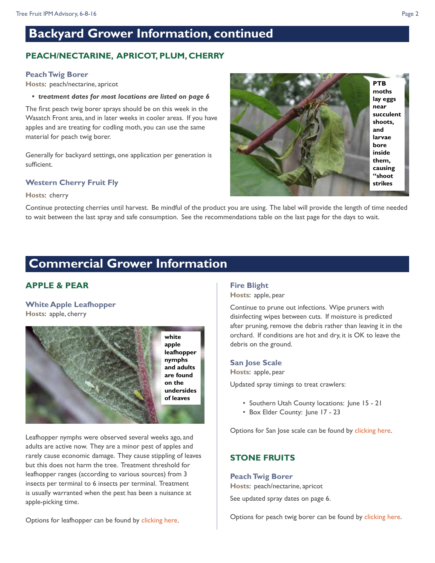# **Backyard Grower Information, continued**

### **PEACH/NECTARINE, APRICOT, PLUM, CHERRY**

#### **Peach Twig Borer**

**Hosts**: peach/nectarine, apricot

*• treatment dates for most locations are listed on page 6* 

The first peach twig borer sprays should be on this week in the Wasatch Front area, and in later weeks in cooler areas. If you have apples and are treating for codling moth, you can use the same material for peach twig borer.

Generally for backyard settings, one application per generation is sufficient.

#### **Western Cherry Fruit Fly**

#### **Hosts**: cherry

Continue protecting cherries until harvest. Be mindful of the product you are using. The label will provide the length of time needed to wait between the last spray and safe consumption. See the recommendations table on the last page for the days to wait.

## **Commercial Grower Information**

### **APPLE & PEAR**

#### **White Apple Leafhopper Hosts**: apple, cherry



Leafhopper nymphs were observed several weeks ago, and adults are active now. They are a minor pest of apples and rarely cause economic damage. They cause stippling of leaves but this does not harm the tree. Treatment threshold for leafhopper ranges (according to various sources) from 3 insects per terminal to 6 insects per terminal. Treatment is usually warranted when the pest has been a nuisance at apple-picking time.

#### **Fire Blight**

**Hosts**: apple, pear

Continue to prune out infections. Wipe pruners with disinfecting wipes between cuts. If moisture is predicted after pruning, remove the debris rather than leaving it in the orchard. If conditions are hot and dry, it is OK to leave the debris on the ground.

#### **San Jose Scale**

**Hosts**: apple, pear

Updated spray timings to treat crawlers:

- Southern Utah County locations: June 15 21
- Box Elder County: June 17 23

Options for San Jose scale can be found by [clicking here](http://intermountainfruit.org/spray-tables/apple/a-fruitp).

### **STONE FRUITS**

#### **Peach Twig Borer**

**Hosts**: peach/nectarine, apricot

See updated spray dates on page 6.

Options for peach twig borer can be found by [clicking here.](http://intermountainfruit.org/spray-tables/peach-nectarine/pn-fp)



Options for leafhopper can be found by [clicking here.](http://intermountainfruit.org/spray-tables/apple/a-pf)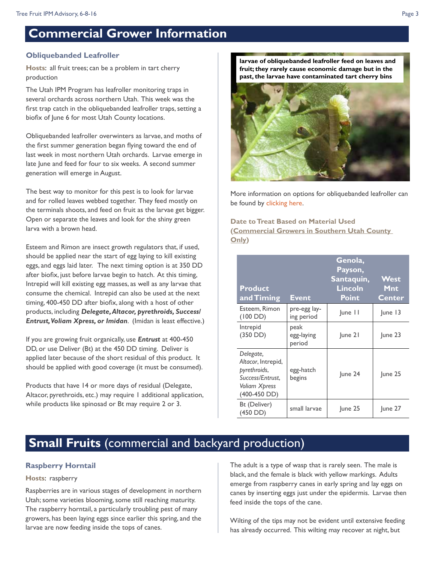# **Commercial Grower Information**

#### **Obliquebanded Leafroller**

**Hosts**: all fruit trees; can be a problem in tart cherry production

The Utah IPM Program has leafroller monitoring traps in several orchards across northern Utah. This week was the first trap catch in the obliquebanded leafroller traps, setting a biofix of June 6 for most Utah County locations.

Obliquebanded leafroller overwinters as larvae, and moths of the first summer generation began flying toward the end of last week in most northern Utah orchards. Larvae emerge in late June and feed for four to six weeks. A second summer generation will emerge in August.

The best way to monitor for this pest is to look for larvae and for rolled leaves webbed together. They feed mostly on the terminals shoots, and feed on fruit as the larvae get bigger. Open or separate the leaves and look for the shiny green larva with a brown head.

Esteem and Rimon are insect growth regulators that, if used, should be applied near the start of egg laying to kill existing eggs, and eggs laid later. The next timing option is at 350 DD after biofix, just before larvae begin to hatch. At this timing, Intrepid will kill existing egg masses, as well as any larvae that consume the chemical. Intrepid can also be used at the next timing, 400-450 DD after biofix, along with a host of other products, including *Delegate, Altacor, pyrethroids, Success/ Entrust, Voliam Xpress, or Imidan*. (Imidan is least effective.)

If you are growing fruit organically, use *Entrust* at 400-450 DD, or use Deliver (Bt) at the 450 DD timing. Deliver is applied later because of the short residual of this product. It should be applied with good coverage (it must be consumed).

Products that have 14 or more days of residual (Delegate, Altacor, pyrethroids, etc.) may require 1 additional application, while products like spinosad or Bt may require 2 or 3.

**larvae of obliquebanded leafroller feed on leaves and fruit; they rarely cause economic damage but in the past, the larvae have contaminated tart cherry bins**



More information on options for obliquebanded leafroller can be found by [clicking here.](http://intermountainfruit.org/spray-tables/cherry/c-fp)

**Date to Treat Based on Material Used (Commercial Growers in Southern Utah County Only)**

| <b>Product</b><br>and Timing                                                                           | Event                        | Genola,<br>Payson,<br>Santaquin,<br>Lincoln<br><b>Point</b> | <b>West</b><br>Mnt<br><b>Center</b> |
|--------------------------------------------------------------------------------------------------------|------------------------------|-------------------------------------------------------------|-------------------------------------|
| Esteem, Rimon<br>$(100$ DD)                                                                            | pre-egg lay-<br>ing period   | $ $ une $ $                                                 | $ $ une 13                          |
| Intrepid<br>$(350$ DD)                                                                                 | peak<br>egg-laying<br>period | $ $ une 21                                                  | June 23                             |
| Delegate,<br>Altacor, Intrepid,<br>pyrethroids,<br>Success/Entrust.<br>Voliam Xpress<br>$(400-450$ DD) | egg-hatch<br>begins          | June 24                                                     | June 25                             |
| Bt (Deliver)<br>(450 DD)                                                                               | small larvae                 | June 25                                                     | June 27                             |

### **Small Fruits** (commercial and backyard production)

#### **Raspberry Horntail**

#### **Hosts**: raspberry

Raspberries are in various stages of development in northern Utah; some varieties blooming, some still reaching maturity. The raspberry horntail, a particularly troubling pest of many growers, has been laying eggs since earlier this spring, and the larvae are now feeding inside the tops of canes.

The adult is a type of wasp that is rarely seen. The male is black, and the female is black with yellow markings. Adults emerge from raspberry canes in early spring and lay eggs on canes by inserting eggs just under the epidermis. Larvae then feed inside the tops of the cane.

Wilting of the tips may not be evident until extensive feeding has already occurred. This wilting may recover at night, but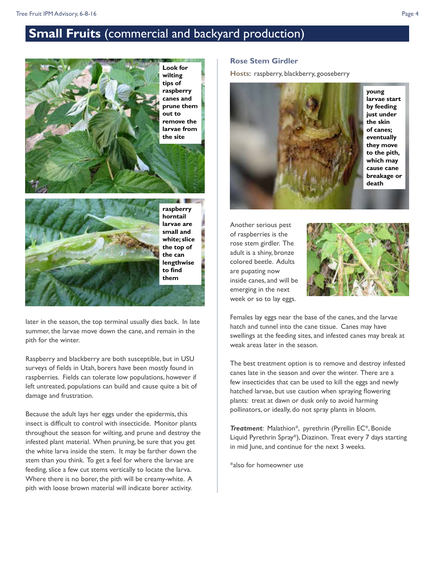# **Small Fruits** (commercial and backyard production)



**white; slice the top of the can lengthwise to find them**

later in the season, the top terminal usually dies back. In late summer, the larvae move down the cane, and remain in the pith for the winter.

Raspberry and blackberry are both susceptible, but in USU surveys of fields in Utah, borers have been mostly found in raspberries. Fields can tolerate low populations, however if left untreated, populations can build and cause quite a bit of damage and frustration.

Because the adult lays her eggs under the epidermis, this insect is difficult to control with insecticide. Monitor plants throughout the season for wilting, and prune and destroy the infested plant material. When pruning, be sure that you get the white larva inside the stem. It may be farther down the stem than you think. To get a feel for where the larvae are feeding, slice a few cut stems vertically to locate the larva. Where there is no borer, the pith will be creamy-white. A pith with loose brown material will indicate borer activity.

#### **Rose Stem Girdler**

**Hosts**: raspberry, blackberry, gooseberry



**young larvae start by feeding just under the skin of canes; eventually they move to the pith, which may cause cane breakage or death**

Another serious pest of raspberries is the rose stem girdler. The adult is a shiny, bronze colored beetle. Adults are pupating now inside canes, and will be emerging in the next week or so to lay eggs.



Females lay eggs near the base of the canes, and the larvae hatch and tunnel into the cane tissue. Canes may have swellings at the feeding sites, and infested canes may break at weak areas later in the season.

The best treatment option is to remove and destroy infested canes late in the season and over the winter. There are a few insecticides that can be used to kill the eggs and newly hatched larvae, but use caution when spraying flowering plants: treat at dawn or dusk only to avoid harming pollinators, or ideally, do not spray plants in bloom.

*Treatment*: Malathion\*, pyrethrin (Pyrellin EC\*, Bonide Liquid Pyrethrin Spray\*), Diazinon. Treat every 7 days starting in mid June, and continue for the next 3 weeks.

\*also for homeowner use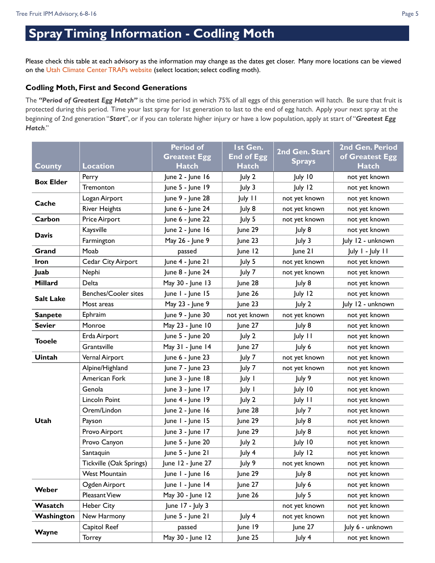# **Spray Timing Information - Codling Moth**

Please check this table at each advisory as the information may change as the dates get closer. Many more locations can be viewed on the [Utah Climate Center TRAPs website](http://climate.usurf.usu.edu/traps/) (select location; select codling moth).

#### **Codling Moth, First and Second Generations**

The *"Period of Greatest Egg Hatch"* is the time period in which 75% of all eggs of this generation will hatch. Be sure that fruit is protected during this period. Time your last spray for 1st generation to last to the end of egg hatch. Apply your next spray at the beginning of 2nd generation "*Start*", or if you can tolerate higher injury or have a low population, apply at start of "*Greatest Egg Hatch*."

|                  |                             | <b>Period of</b>    | Ist Gen.          |                | 2nd Gen. Period   |
|------------------|-----------------------------|---------------------|-------------------|----------------|-------------------|
|                  |                             | <b>Greatest Egg</b> | <b>End of Egg</b> | 2nd Gen. Start | of Greatest Egg   |
| <b>County</b>    | <b>Location</b>             | <b>Hatch</b>        | <b>Hatch</b>      | <b>Sprays</b>  | <b>Hatch</b>      |
| <b>Box Elder</b> | Perry                       | June 2 - June 16    | July 2            | July 10        | not yet known     |
|                  | Tremonton                   | June 5 - June 19    | July 3            | July 12        | not yet known     |
| Cache            | Logan Airport               | June 9 - June 28    | July 11           | not yet known  | not yet known     |
|                  | <b>River Heights</b>        | June 6 - June 24    | July 8            | not yet known  | not yet known     |
| Carbon           | Price Airport               | June 6 - June 22    | July 5            | not yet known  | not yet known     |
| <b>Davis</b>     | Kaysville                   | June 2 - June 16    | June 29           | July 8         | not yet known     |
|                  | Farmington                  | May 26 - June 9     | June 23           | July 3         | July 12 - unknown |
| Grand            | Moab                        | passed              | June 12           | June 21        | July I - July II  |
| <b>Iron</b>      | Cedar City Airport          | June 4 - June 21    | July 5            | not yet known  | not yet known     |
| Juab             | Nephi                       | June 8 - June 24    | July 7            | not yet known  | not yet known     |
| <b>Millard</b>   | Delta                       | May 30 - June 13    | June 28           | July 8         | not yet known     |
| Salt Lake        | <b>Benches/Cooler sites</b> | June I - June 15    | June 26           | July 12        | not yet known     |
|                  | Most areas                  | May 23 - June 9     | June 23           | July 2         | July 12 - unknown |
| <b>Sanpete</b>   | Ephraim                     | June 9 - June 30    | not yet known     | not yet known  | not yet known     |
| <b>Sevier</b>    | Monroe                      | May 23 - June 10    | June 27           | July 8         | not yet known     |
|                  | Erda Airport                | June 5 - June 20    | July 2            | July 11        | not yet known     |
| <b>Tooele</b>    | Grantsville                 | May 31 - June 14    | June 27           | July 6         | not yet known     |
| Uintah           | Vernal Airport              | June 6 - June 23    | July 7            | not yet known  | not yet known     |
|                  | Alpine/Highland             | June 7 - June 23    | July 7            | not yet known  | not yet known     |
|                  | American Fork               | June 3 - June 18    | July I            | July 9         | not yet known     |
|                  | Genola                      | June 3 - June 17    | July I            | July 10        | not yet known     |
|                  | Lincoln Point               | June 4 - June 19    | July 2            | July 11        | not yet known     |
|                  | Orem/Lindon                 | June 2 - June 16    | June 28           | July 7         | not yet known     |
| Utah             | Payson                      | June I - June 15    | June 29           | July 8         | not yet known     |
|                  | Provo Airport               | June 3 - June 17    | June 29           | July 8         | not yet known     |
|                  | Provo Canyon                | June 5 - June 20    | July 2            | July 10        | not yet known     |
|                  | Santaquin                   | June 5 - June 21    | July 4            | July 12        | not yet known     |
|                  | Tickville (Oak Springs)     | June 12 - June 27   | July 9            | not yet known  | not yet known     |
|                  | <b>West Mountain</b>        | June I - June 16    | June 29           | July 8         | not yet known     |
| Weber            | Ogden Airport               | June I - June 14    | June 27           | July 6         | not yet known     |
|                  | Pleasant View               | May 30 - June 12    | June 26           | July 5         | not yet known     |
| Wasatch          | <b>Heber City</b>           | June 17 - July 3    | not yet known     |                | not yet known     |
| Washington       | New Harmony                 | June 5 - June 21    | July 4            | not yet known  | not yet known     |
| Wayne            | Capitol Reef                | passed              | June 19           | June 27        | July 6 - unknown  |
|                  | Torrey                      | May 30 - June 12    | June 25           | July 4         | not yet known     |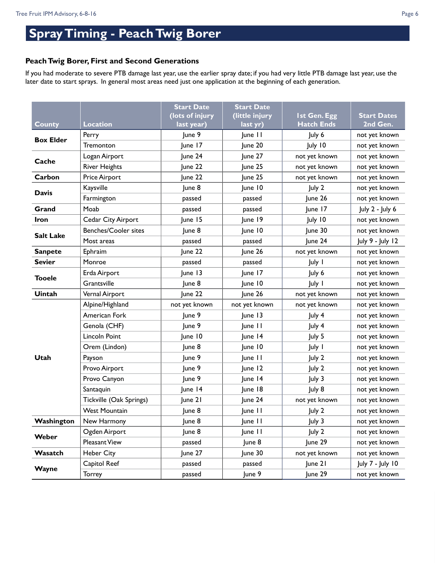# **Spray Timing - Peach Twig Borer**

### **Peach Twig Borer, First and Second Generations**

If you had moderate to severe PTB damage last year, use the earlier spray date; if you had very little PTB damage last year, use the later date to start sprays. In general most areas need just one application at the beginning of each generation.

|                  |                         | <b>Start Date</b> | <b>Start Date</b> |                     |                    |
|------------------|-------------------------|-------------------|-------------------|---------------------|--------------------|
|                  |                         | (lots of injury   | (little injury    | <b>Ist Gen. Egg</b> | <b>Start Dates</b> |
| <b>County</b>    | <b>Location</b>         | last year)        | last yr)          | <b>Hatch Ends</b>   | 2nd Gen.           |
| <b>Box Elder</b> | Perry                   | June 9            | June 11           | July 6              | not yet known      |
|                  | Tremonton               | June 17           | June 20           | July 10             | not yet known      |
| Cache            | Logan Airport           | June 24           | June 27           | not yet known       | not yet known      |
|                  | <b>River Heights</b>    | June 22           | June 25           | not yet known       | not yet known      |
| Carbon           | Price Airport           | June 22           | June 25           | not yet known       | not yet known      |
| <b>Davis</b>     | Kaysville               | June 8            | June 10           | July 2              | not yet known      |
|                  | Farmington              | passed            | passed            | June 26             | not yet known      |
| Grand            | Moab                    | passed            | passed            | June 17             | July 2 - July 6    |
| Iron             | Cedar City Airport      | June 15           | June 19           | July 10             | not yet known      |
| <b>Salt Lake</b> | Benches/Cooler sites    | June 8            | June 10           | June 30             | not yet known      |
|                  | Most areas              | passed            | passed            | June 24             | July 9 - July 12   |
| <b>Sanpete</b>   | Ephraim                 | June 22           | June 26           | not yet known       | not yet known      |
| <b>Sevier</b>    | Monroe                  | passed            | passed            | July 1              | not yet known      |
| <b>Tooele</b>    | Erda Airport            | June 13           | June 17           | July 6              | not yet known      |
|                  | Grantsville             | June 8            | June 10           | July 1              | not yet known      |
| <b>Uintah</b>    | Vernal Airport          | June 22           | June 26           | not yet known       | not yet known      |
|                  | Alpine/Highland         | not yet known     | not yet known     | not yet known       | not yet known      |
|                  | American Fork           | June 9            | June 13           | July 4              | not yet known      |
|                  | Genola (CHF)            | June 9            | June 11           | July 4              | not yet known      |
|                  | Lincoln Point           | June 10           | June 14           | July 5              | not yet known      |
|                  | Orem (Lindon)           | June 8            | June 10           | July I              | not yet known      |
| Utah             | Payson                  | June 9            | June II           | July 2              | not yet known      |
|                  | Provo Airport           | June 9            | June 12           | July 2              | not yet known      |
|                  | Provo Canyon            | June 9            | June 14           | July 3              | not yet known      |
|                  | Santaquin               | June 14           | June 18           | July 8              | not yet known      |
|                  | Tickville (Oak Springs) | June 21           | June 24           | not yet known       | not yet known      |
|                  | <b>West Mountain</b>    | June 8            | June II           | July 2              | not yet known      |
| Washington       | New Harmony             | June 8            | June II           | July 3              | not yet known      |
| Weber            | Ogden Airport           | June 8            | June II           | July 2              | not yet known      |
|                  | Pleasant View           | passed            | June 8            | June 29             | not yet known      |
| Wasatch          | <b>Heber City</b>       | June 27           | June 30           | not yet known       | not yet known      |
| Wayne            | Capitol Reef            | passed            | passed            | June 21             | July 7 - July 10   |
|                  | Torrey                  | passed            | June 9            | June 29             | not yet known      |